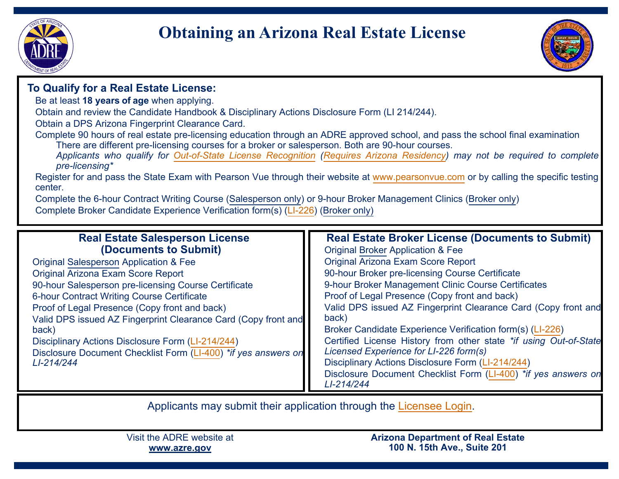

# **Obtaining an Arizona Real Estate License**



## **To Qualify for a Real Estate License:**

Be at least **18 years of age** when applying.

Obtain and review the Candidate Handbook & Disciplinary Actions Disclosure Form (LI 214/244).

Obtain a DPS Arizona Fingerprint Clearance Card.

Complete 90 hours of real estate pre-licensing education through an ADRE approved school, and pass the school final examination There are different pre-licensing courses for a broker or salesperson. Both are 90-hour courses.

 *Applicants who qualify for [Out-of-State License Recognition](https://azre.gov/out-state-license-recognition) [\(Requires Arizona Residency\)](https://azre.gov/sites/default/files/Forms/Licensing/Form_Residency_Attestation.pdf) may not be required to complete pre-licensing\**

Register for and pass the State Exam with Pearson Vue through their website at <u>[www.pearsonvue.com](https://home.pearsonvue.com/az/realestate)</u> or by calling the specific testing<br>center center.

 Complete the 6-hour Contract Writing Course (Salesperson only) or 9-hour Broker Management Clinics (Broker only)Complete Broker Candidate Experience Verification form(s) ([LI-226](https://azre.gov/sites/default/files/Forms/Licensing/Form_LI-226_Broker_Candidate_Experience.pdf)) (Broker only)

| <b>Real Estate Salesperson License</b>                         | <b>Real Estate Broker License (Documents to Submit)</b>           |
|----------------------------------------------------------------|-------------------------------------------------------------------|
| (Documents to Submit)                                          | <b>Original Broker Application &amp; Fee</b>                      |
| <b>Original Salesperson Application &amp; Fee</b>              | <b>Original Arizona Exam Score Report</b>                         |
| Original Arizona Exam Score Report                             | 90-hour Broker pre-licensing Course Certificate                   |
| 90-hour Salesperson pre-licensing Course Certificate           | 9-hour Broker Management Clinic Course Certificates               |
| <b>6-hour Contract Writing Course Certificate</b>              | Proof of Legal Presence (Copy front and back)                     |
| Proof of Legal Presence (Copy front and back)                  | Valid DPS issued AZ Fingerprint Clearance Card (Copy front and    |
| Valid DPS issued AZ Fingerprint Clearance Card (Copy front and | back)                                                             |
| back)                                                          | Broker Candidate Experience Verification form(s) (LI-226)         |
| Disciplinary Actions Disclosure Form (LI-214/244)              | Certified License History from other state *if using Out-of-State |
| Disclosure Document Checklist Form (LI-400) *if yes answers on | Licensed Experience for LI-226 form(s)                            |
| LI-214/244                                                     | Disciplinary Actions Disclosure Form (LI-214/244)                 |
|                                                                | Disclosure Document Checklist Form (LI-400) *if yes answers on    |
|                                                                | LI-214/244                                                        |

Applicants may submit their application through the [Licensee Login](https://ptl.az.gov/dre/#/login).